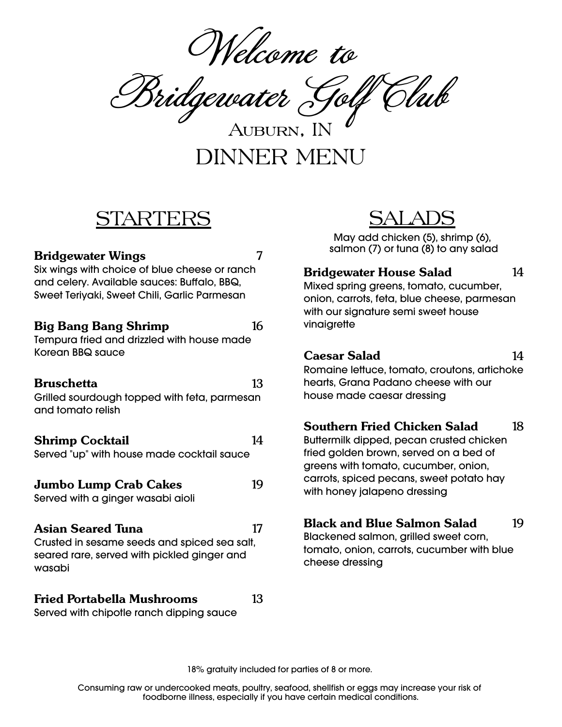Welcome to

Bridgewater Golf Club

DINNER MENU Auburn, IN

## STARTERS

#### **Bridgewater Wings** 7

Six wings with choice of blue cheese or ranch and celery. Available sauces: Buffalo, BBQ, Sweet Teriyaki, Sweet Chili, Garlic Parmesan

#### **Big Bang Bang Shrimp** 16

Tempura fried and drizzled with house made Korean BBQ sauce

#### **Bruschetta** 13

Grilled sourdough topped with feta, parmesan and tomato relish

#### **Shrimp** Cocktail 14

Served "up" with house made cocktail sauce

### **Jumbo Lump Crab Cakes** 19

Served with a ginger wasabi aioli

#### **Asian Seared Tuna** 17

Crusted in sesame seeds and spiced sea salt, seared rare, served with pickled ginger and wasabi

## **Fried Portabella Mushrooms** 13

Served with chipotle ranch dipping sauce

# SALADS

May add chicken (5), shrimp (6), salmon (7) or tuna (8) to any salad

#### **Bridgewater House Salad** 14

Mixed spring greens, tomato, cucumber, onion, carrots, feta, blue cheese, parmesan with our signature semi sweet house vinaigrette

#### **Caesar Salad** 14

Romaine lettuce, tomato, croutons, artichoke hearts, Grana Padano cheese with our house made caesar dressing

#### **Southern Fried Chicken Salad** 18

Buttermilk dipped, pecan crusted chicken fried golden brown, served on a bed of greens with tomato, cucumber, onion, carrots, spiced pecans, sweet potato hay with honey jalapeno dressing

#### **Black and Blue Salmon Salad** 19

Blackened salmon, grilled sweet corn, tomato, onion, carrots, cucumber with blue cheese dressing

18% gratuity included for parties of 8 or more.